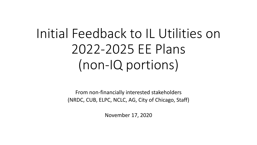# Initial Feedback to IL Utilities on 2022-2025 EE Plans (non-IQ portions)

From non-financially interested stakeholders (NRDC, CUB, ELPC, NCLC, AG, City of Chicago, Staff)

November 17, 2020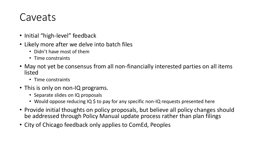#### Caveats

- Initial "high-level" feedback
- Likely more after we delve into batch files
	- Didn't have most of them
	- Time constraints
- May not yet be consensus from all non-financially interested parties on all items listed
	- Time constraints
- This is only on non-IQ programs.
	- Separate slides on IQ proposals
	- Would oppose reducing IQ \$ to pay for any specific non-IQ requests presented here
- Provide initial thoughts on policy proposals, but believe all policy changes should be addressed through Policy Manual update process rather than plan filings
- City of Chicago feedback only applies to ComEd, Peoples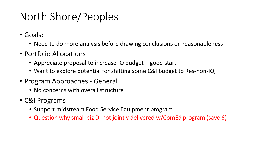### North Shore/Peoples

- Goals:
	- Need to do more analysis before drawing conclusions on reasonableness
- Portfolio Allocations
	- Appreciate proposal to increase IQ budget good start
	- Want to explore potential for shifting some C&I budget to Res-non-IQ
- Program Approaches General
	- No concerns with overall structure
- C&I Programs
	- Support midstream Food Service Equipment program
	- Question why small biz DI not jointly delivered w/ComEd program (save \$)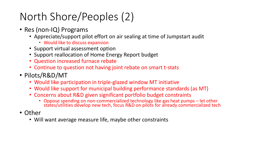### North Shore/Peoples (2)

- Res (non-IQ) Programs
	- Appreciate/support pilot effort on air sealing at time of Jumpstart audit
		- Would like to discuss expansion
	- Support virtual assessment option
	- Support reallocation of Home Energy Report budget
	- Question increased furnace rebate
	- Continue to question not having joint rebate on smart t-stats
- Pilots/R&D/MT
	- Would like participation in triple-glazed window MT initiative
	- Would like support for municipal building performance standards (as MT)
	- Concerns about R&D given significant portfolio budget constraints
		- Oppose spending on non-commercialized technology like gas heat pumps let other states/utilities develop new tech, focus R&D on pilots for already commercialized tech
- Other
	- Will want average measure life, maybe other constraints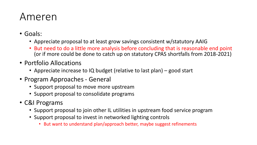#### Ameren

- Goals:
	- Appreciate proposal to at least grow savings consistent w/statutory AAIG
	- But need to do a little more analysis before concluding that is reasonable end point (or if more could be done to catch up on statutory CPAS shortfalls from 2018-2021)
- Portfolio Allocations
	- Appreciate increase to IQ budget (relative to last plan) good start
- Program Approaches General
	- Support proposal to move more upstream
	- Support proposal to consolidate programs
- C&I Programs
	- Support proposal to join other IL utilities in upstream food service program
	- Support proposal to invest in networked lighting controls
		- But want to understand plan/approach better, maybe suggest refinements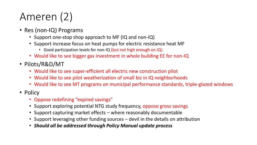# Ameren (2)

- Res (non-IQ) Programs
	- Support one-stop shop approach to MF (IQ and non-IQ)
	- Support increase focus on heat pumps for electric resistance heat MF
		- Good participation levels for non-IQ (but not high enough on IQ)
	- Would like to see bigger gas investment in whole building EE for non-IQ
- Pilots/R&D/MT
	- Would like to see super-efficient all electric new construction pilot
	- Would like to see pilot weatherization of small biz in IQ neighborhoods
	- Would like to see MT programs on municipal performance standards, triple-glazed windows
- Policy
	- Oppose redefining "expired savings"
	- Support exploring potential NTG study frequency, oppose gross savings
	- Support capturing market effects where reasonably documentable
	- Support leveraging other funding sources devil in the details on attribution
	- *Should all be addressed through Policy Manual update process*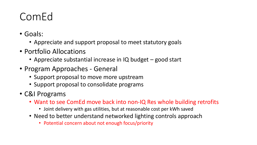#### ComEd

- Goals:
	- Appreciate and support proposal to meet statutory goals
- Portfolio Allocations
	- Appreciate substantial increase in IQ budget good start
- Program Approaches General
	- Support proposal to move more upstream
	- Support proposal to consolidate programs
- C&I Programs
	- Want to see ComEd move back into non-IQ Res whole building retrofits
		- Joint delivery with gas utilities, but at reasonable cost per kWh saved
	- Need to better understand networked lighting controls approach
		- Potential concern about not enough focus/priority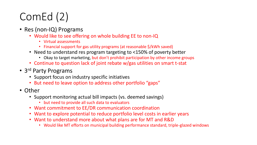# ComEd (2)

- Res (non-IQ) Programs
	- Would like to see offering on whole building EE to non-IQ
		- Virtual assessments
		- Financial support for gas utility programs (at reasonable \$/kWh saved)
	- Need to understand res program targeting to <150% of poverty better
		- Okay to target marketing, but don't prohibit participation by other income groups
	- Continue to question lack of joint rebate w/gas utilities on smart t-stat
- 3<sup>rd</sup> Party Programs
	- Support focus on industry specific initiatives
	- But need to leave option to address other portfolio "gaps"
- Other
	- Support monitoring actual bill impacts (vs. deemed savings)
		- but need to provide all such data to evaluators
	- Want commitment to EE/DR communication coordination
	- Want to explore potential to reduce portfolio level costs in earlier years
	- Want to understand more about what plans are for MT and R&D
		- Would like MT efforts on municipal building performance standard, triple-glazed windows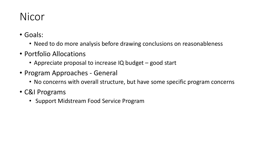#### Nicor

- Goals:
	- Need to do more analysis before drawing conclusions on reasonableness
- Portfolio Allocations
	- Appreciate proposal to increase IQ budget good start
- Program Approaches General
	- No concerns with overall structure, but have some specific program concerns
- C&I Programs
	- Support Midstream Food Service Program